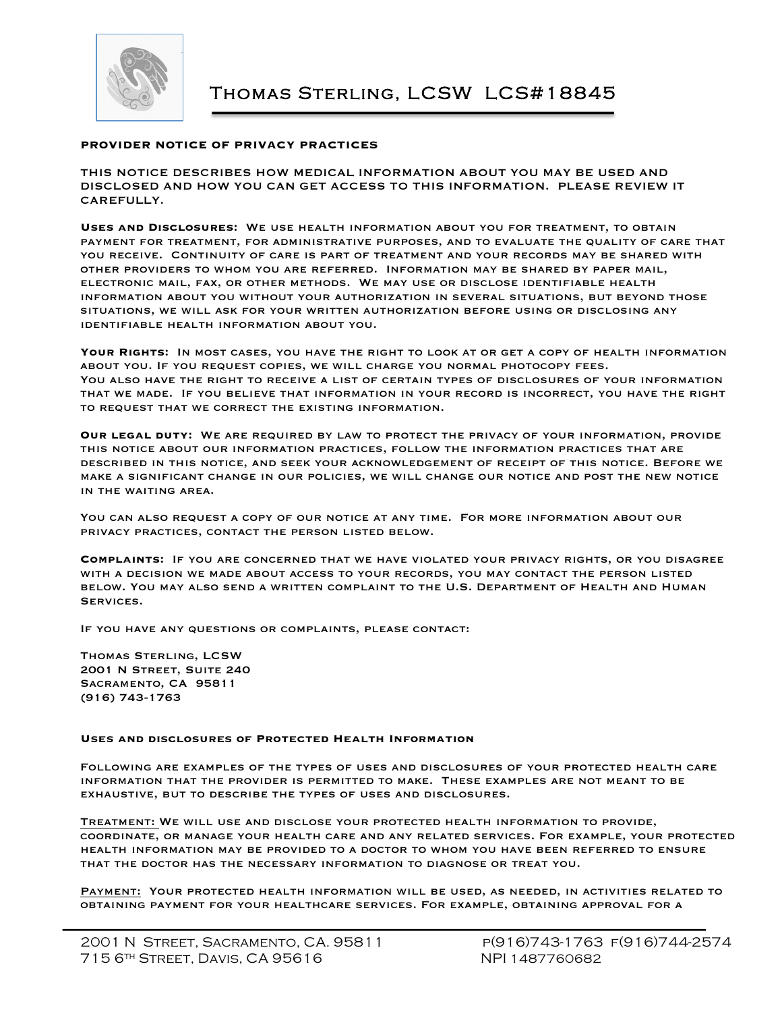

## **PROVIDER NOTICE OF PRIVACY PRACTICES**

THIS NOTICE DESCRIBES HOW MEDICAL INFORMATION ABOUT YOU MAY BE USED AND DISCLOSED AND HOW YOU CAN GET ACCESS TO THIS INFORMATION. PLEASE REVIEW IT CAREFULLY.

**Uses and Disclosures:** We use health information about you for treatment, to obtain payment for treatment, for administrative purposes, and to evaluate the quality of care that you receive. Continuity of care is part of treatment and your records may be shared with other providers to whom you are referred. Information may be shared by paper mail, electronic mail, fax, or other methods. We may use or disclose identifiable health information about you without your authorization in several situations, but beyond those situations, we will ask for your written authorization before using or disclosing any identifiable health information about you.

**Your Rights:** In most cases, you have the right to look at or get a copy of health information about you. If you request copies, we will charge you normal photocopy fees. You also have the right to receive a list of certain types of disclosures of your information that we made. If you believe that information in your record is incorrect, you have the right to request that we correct the existing information.

**Our legal duty:** We are required by law to protect the privacy of your information, provide this notice about our information practices, follow the information practices that are described in this notice, and seek your acknowledgement of receipt of this notice. Before we make a significant change in our policies, we will change our notice and post the new notice in the waiting area.

You can also request a copy of our notice at any time. For more information about our privacy practices, contact the person listed below.

**Complaints:** If you are concerned that we have violated your privacy rights, or you disagree with a decision we made about access to your records, you may contact the person listed below. You may also send a written complaint to the U.S. Department of Health and Human Services.

If you have any questions or complaints, please contact:

Thomas Sterling, LCSW 2001 N Street, Suite 240 Sacramento, CA 95811 (916) 743-1763

## **Uses and disclosures of Protected Health Information**

Following are examples of the types of uses and disclosures of your protected health care information that the provider is permitted to make. These examples are not meant to be exhaustive, but to describe the types of uses and disclosures.

Treatment: We will use and disclose your protected health information to provide, coordinate, or manage your health care and any related services. For example, your protected health information may be provided to a doctor to whom you have been referred to ensure that the doctor has the necessary information to diagnose or treat you.

PAYMENT: YOUR PROTECTED HEALTH INFORMATION WILL BE USED, AS NEEDED, IN ACTIVITIES RELATED TO obtaining payment for your healthcare services. For example, obtaining approval for a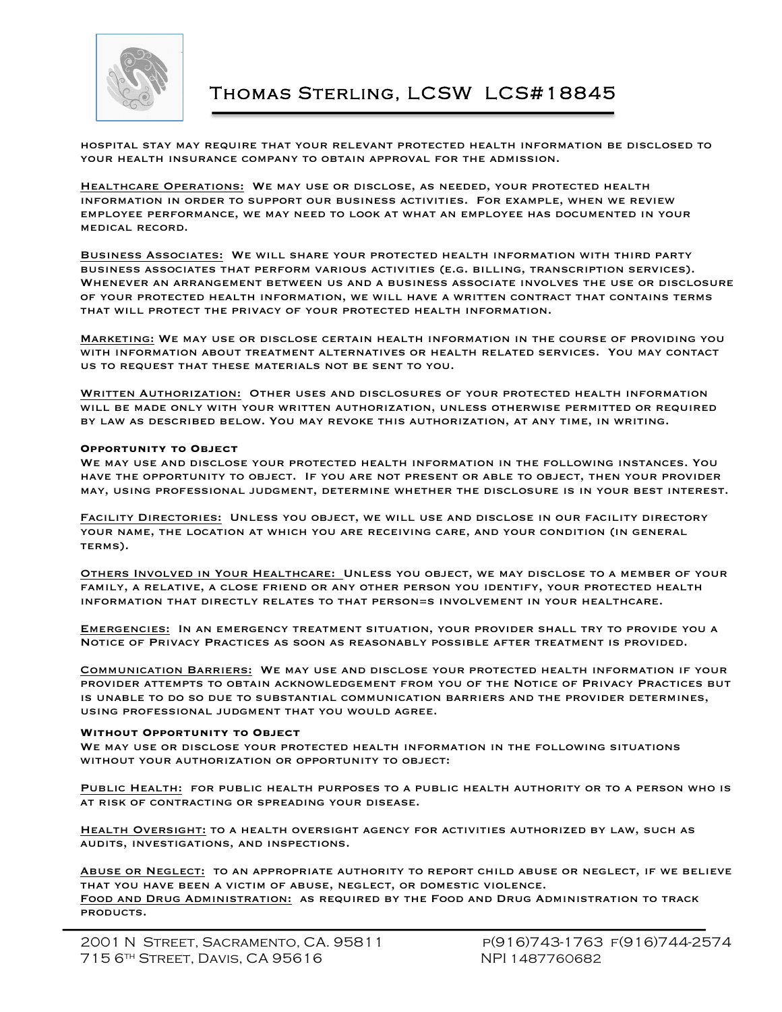

## Thomas Sterling, LCSW LCS#18845

hospital stay may require that your relevant protected health information be disclosed to your health insurance company to obtain approval for the admission.

Healthcare Operations: We may use or disclose, as needed, your protected health information in order to support our business activities. For example, when we review employee performance, we may need to look at what an employee has documented in your medical record.

Business Associates: We will share your protected health information with third party business associates that perform various activities (e.g. billing, transcription services). Whenever an arrangement between us and a business associate involves the use or disclosure of your protected health information, we will have a written contract that contains terms that will protect the privacy of your protected health information.

Marketing: We may use or disclose certain health information in the course of providing you with information about treatment alternatives or health related services. You may contact us to request that these materials not be sent to you.

WRITTEN AUTHORIZATION: OTHER USES AND DISCLOSURES OF YOUR PROTECTED HEALTH INFORMATION will be made only with your written authorization, unless otherwise permitted or required by law as described below. You may revoke this authorization, at any time, in writing.

#### **Opportunity to Object**

We may use and disclose your protected health information in the following instances. You have the opportunity to object. If you are not present or able to object, then your provider may, using professional judgment, determine whether the disclosure is in your best interest.

Facility Directories: Unless you object, we will use and disclose in our facility directory your name, the location at which you are receiving care, and your condition (in general terms).

Others Involved in Your Healthcare: Unless you object, we may disclose to a member of your family, a relative, a close friend or any other person you identify, your protected health information that directly relates to that person=s involvement in your healthcare.

Emergencies: In an emergency treatment situation, your provider shall try to provide you a Notice of Privacy Practices as soon as reasonably possible after treatment is provided.

Communication Barriers: We may use and disclose your protected health information if your provider attempts to obtain acknowledgement from you of the Notice of Privacy Practices but is unable to do so due to substantial communication barriers and the provider determines, using professional judgment that you would agree.

## **Without Opportunity to Object**

We may use or disclose your protected health information in the following situations without your authorization or opportunity to object:

Public Health: for public health purposes to a public health authority or to a person who is at risk of contracting or spreading your disease.

HEALTH OVERSIGHT: TO A HEALTH OVERSIGHT AGENCY FOR ACTIVITIES AUTHORIZED BY LAW, SUCH AS audits, investigations, and inspections.

Abuse or Neglect: to an appropriate authority to report child abuse or neglect, if we believe that you have been a victim of abuse, neglect, or domestic violence. Food and Drug Administration: as required by the Food and Drug Administration to track products.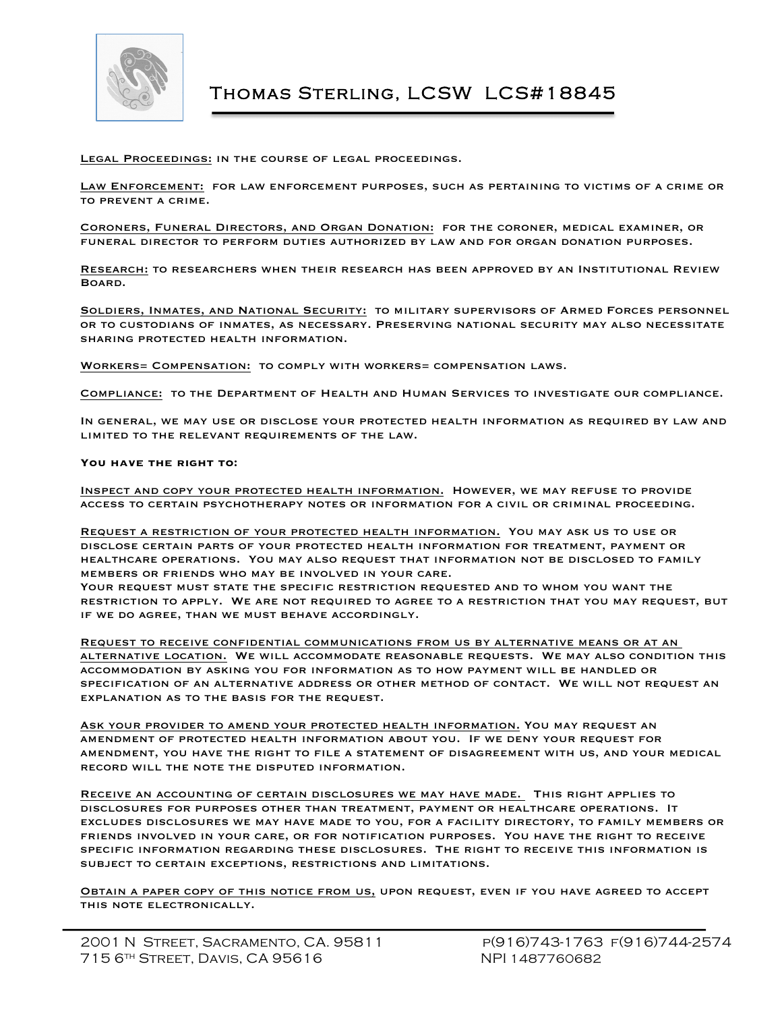

Legal Proceedings: in the course of legal proceedings.

Law Enforcement: for law enforcement purposes, such as pertaining to victims of a crime or to prevent a crime.

Coroners, Funeral Directors, and Organ Donation: for the coroner, medical examiner, or funeral director to perform duties authorized by law and for organ donation purposes.

Research: to researchers when their research has been approved by an Institutional Review Board.

SOLDIERS, INMATES, AND NATIONAL SECURITY: TO MILITARY SUPERVISORS OF ARMED FORCES PERSONNEL or to custodians of inmates, as necessary. Preserving national security may also necessitate sharing protected health information.

Workers= Compensation: to comply with workers= compensation laws.

Compliance: to the Department of Health and Human Services to investigate our compliance.

In general, we may use or disclose your protected health information as required by law and limited to the relevant requirements of the law.

**You have the right to:**

Inspect and copy your protected health information. However, we may refuse to provide access to certain psychotherapy notes or information for a civil or criminal proceeding.

Request a restriction of your protected health information. You may ask us to use or disclose certain parts of your protected health information for treatment, payment or healthcare operations. You may also request that information not be disclosed to family members or friends who may be involved in your care.

YOUR REQUEST MUST STATE THE SPECIFIC RESTRICTION REQUESTED AND TO WHOM YOU WANT THE restriction to apply. We are not required to agree to a restriction that you may request, but if we do agree, than we must behave accordingly.

Request to receive confidential communications from us by alternative means or at an alternative location. We will accommodate reasonable requests. We may also condition this accommodation by asking you for information as to how payment will be handled or specification of an alternative address or other method of contact. We will not request an explanation as to the basis for the request.

Ask your provider to amend your protected health information. You may request an amendment of protected health information about you. If we deny your request for amendment, you have the right to file a statement of disagreement with us, and your medical record will the note the disputed information.

RECEIVE AN ACCOUNTING OF CERTAIN DISCLOSURES WE MAY HAVE MADE. THIS RIGHT APPLIES TO disclosures for purposes other than treatment, payment or healthcare operations. It excludes disclosures we may have made to you, for a facility directory, to family members or friends involved in your care, or for notification purposes. You have the right to receive specific information regarding these disclosures. The right to receive this information is subject to certain exceptions, restrictions and limitations.

Obtain a paper copy of this notice from us, upon request, even if you have agreed to accept this note electronically.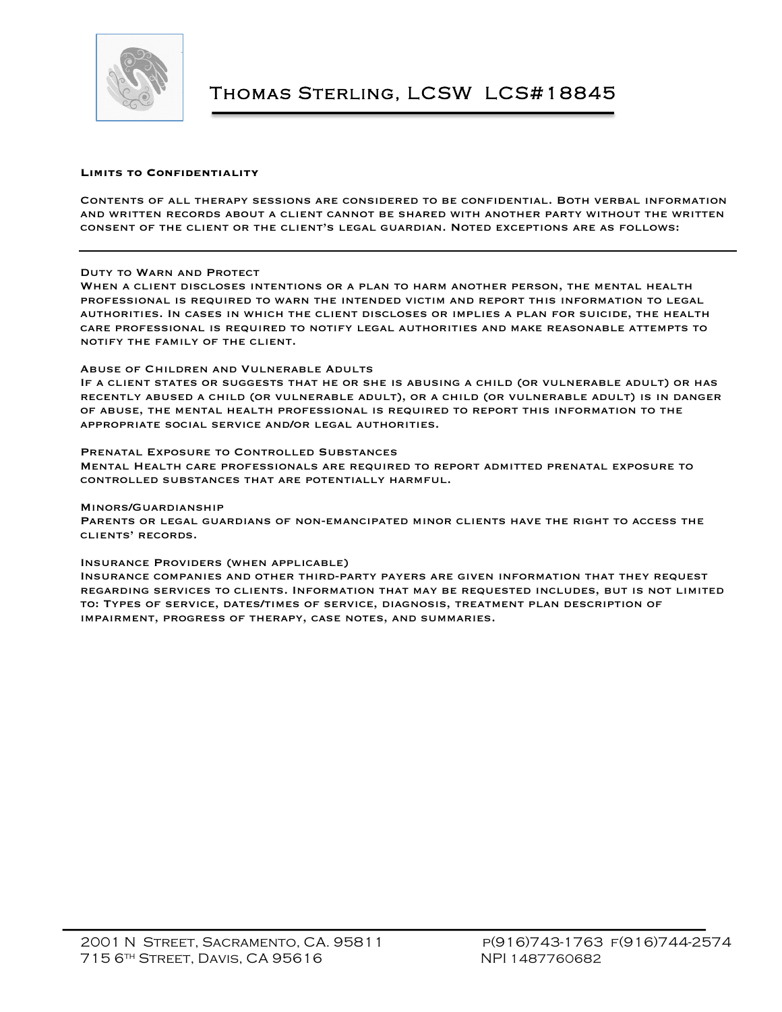

## **Limits to Confidentiality**

Contents of all therapy sessions are considered to be confidential. Both verbal information and written records about a client cannot be shared with another party without the written consent of the client or the client's legal guardian. Noted exceptions are as follows:

## Duty to Warn and Protect

When a client discloses intentions or a plan to harm another person, the mental health professional is required to warn the intended victim and report this information to legal authorities. In cases in which the client discloses or implies a plan for suicide, the health care professional is required to notify legal authorities and make reasonable attempts to notify the family of the client.

#### Abuse of Children and Vulnerable Adults

If a client states or suggests that he or she is abusing a child (or vulnerable adult) or has recently abused a child (or vulnerable adult), or a child (or vulnerable adult) is in danger of abuse, the mental health professional is required to report this information to the appropriate social service and/or legal authorities.

#### Prenatal Exposure to Controlled Substances

Mental Health care professionals are required to report admitted prenatal exposure to controlled substances that are potentially harmful.

#### Minors/Guardianship

Parents or legal guardians of non-emancipated minor clients have the right to access the clients' records.

#### Insurance Providers (when applicable)

Insurance companies and other third-party payers are given information that they request regarding services to clients. Information that may be requested includes, but is not limited to: Types of service, dates/times of service, diagnosis, treatment plan description of impairment, progress of therapy, case notes, and summaries.